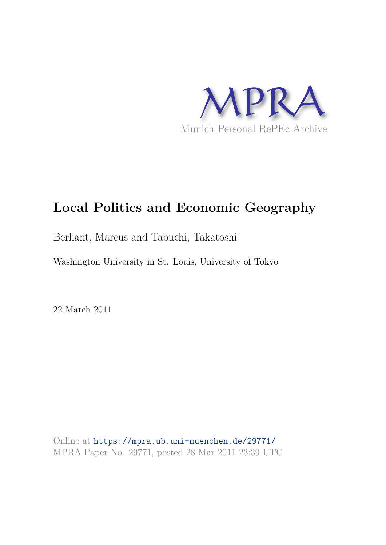

# **Local Politics and Economic Geography**

Berliant, Marcus and Tabuchi, Takatoshi

Washington University in St. Louis, University of Tokyo

22 March 2011

Online at https://mpra.ub.uni-muenchen.de/29771/ MPRA Paper No. 29771, posted 28 Mar 2011 23:39 UTC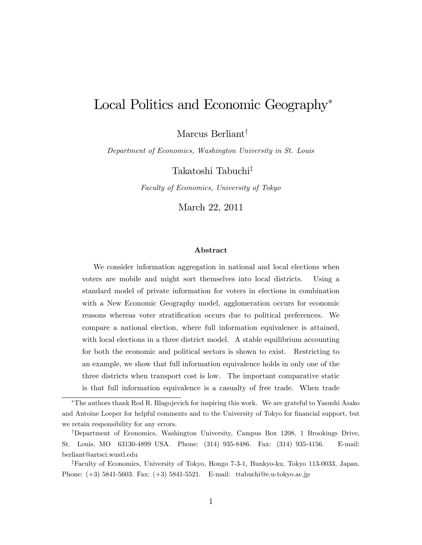## Local Politics and Economic Geography<sup>\*</sup>

Marcus Berliant<sup>†</sup>

Department of Economics, Washington University in St. Louis

Takatoshi Tabuchi<sup>‡</sup>

Faculty of Economics, University of Tokyo

March 22, 2011

#### Abstract

We consider information aggregation in national and local elections when voters are mobile and might sort themselves into local districts. Using a standard model of private information for voters in elections in combination with a New Economic Geography model, agglomeration occurs for economic reasons whereas voter stratification occurs due to political preferences. We compare a national election, where full information equivalence is attained, with local elections in a three district model. A stable equilibrium accounting for both the economic and political sectors is shown to exist. Restricting to an example, we show that full information equivalence holds in only one of the three districts when transport cost is low. The important comparative static is that full information equivalence is a casualty of free trade. When trade

The authors thank Rod R. Blagojevich for inspiring this work. We are grateful to Yasushi Asako and Antoine Loeper for helpful comments and to the University of Tokyo for financial support, but we retain responsibility for any errors.

<sup>&</sup>lt;sup>†</sup>Department of Economics, Washington University, Campus Box 1208, 1 Brookings Drive, St. Louis, MO 63130-4899 USA. Phone: (314) 935-8486. Fax: (314) 935-4156. E-mail: berliant@artsci.wustl.edu

<sup>&</sup>lt;sup>‡</sup>Faculty of Economics, University of Tokyo, Hongo 7-3-1, Bunkyo-ku, Tokyo 113-0033, Japan. Phone: (+3) 5841-5603. Fax: (+3) 5841-5521. E-mail: ttabuchi@e.u-tokyo.ac.jp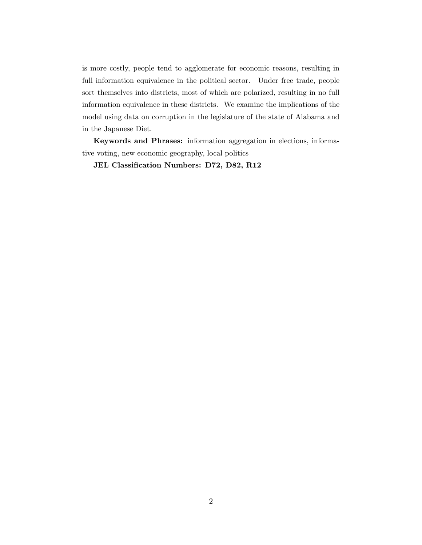is more costly, people tend to agglomerate for economic reasons, resulting in full information equivalence in the political sector. Under free trade, people sort themselves into districts, most of which are polarized, resulting in no full information equivalence in these districts. We examine the implications of the model using data on corruption in the legislature of the state of Alabama and in the Japanese Diet.

Keywords and Phrases: information aggregation in elections, informative voting, new economic geography, local politics

JEL Classification Numbers: D72, D82, R12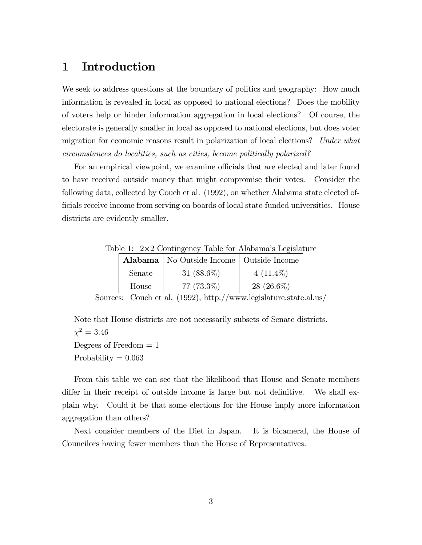### 1 Introduction

We seek to address questions at the boundary of politics and geography: How much information is revealed in local as opposed to national elections? Does the mobility of voters help or hinder information aggregation in local elections? Of course, the electorate is generally smaller in local as opposed to national elections, but does voter migration for economic reasons result in polarization of local elections? Under what circumstances do localities, such as cities, become politically polarized?

For an empirical viewpoint, we examine officials that are elected and later found to have received outside money that might compromise their votes. Consider the following data, collected by Couch et al. (1992), on whether Alabama state elected of-Öcials receive income from serving on boards of local state-funded universities. House districts are evidently smaller.

Table 1:  $2\times2$  Contingency Table for Alabama's Legislature

|        | Alabama   No Outside Income   Outside Income |              |
|--------|----------------------------------------------|--------------|
| Senate | 31 $(88.6\%)$                                | $4(11.4\%)$  |
| House  | 77 $(73.3\%)$                                | $28(26.6\%)$ |

Sources: Couch et al. (1992), http://www.legislature.state.al.us/

Note that House districts are not necessarily subsets of Senate districts.

 $\chi^2 = 3.46$ Degrees of Freedom  $= 1$ Probability  $= 0.063$ 

From this table we can see that the likelihood that House and Senate members differ in their receipt of outside income is large but not definitive. We shall explain why. Could it be that some elections for the House imply more information aggregation than others?

Next consider members of the Diet in Japan. It is bicameral, the House of Councilors having fewer members than the House of Representatives.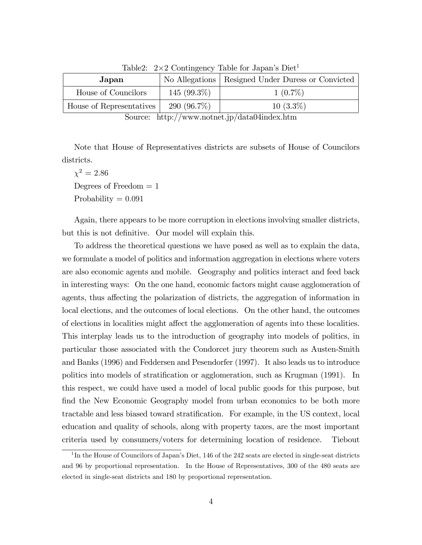| Japan                    |                | No Allegations   Resigned Under Duress or Convicted |  |
|--------------------------|----------------|-----------------------------------------------------|--|
| House of Councilors      | 145 $(99.3\%)$ | $1(0.7\%)$                                          |  |
| House of Representatives | 290 $(96.7\%)$ | $10(3.3\%)$                                         |  |
| .                        |                |                                                     |  |

Table2:  $2 \times 2$  Contingency Table for Japan's Diet<sup>1</sup>

Note that House of Representatives districts are subsets of House of Councilors districts.

 $\chi^2 = 2.86$ Degrees of Freedom  $= 1$ Probability  $= 0.091$ 

Again, there appears to be more corruption in elections involving smaller districts, but this is not definitive. Our model will explain this.

To address the theoretical questions we have posed as well as to explain the data, we formulate a model of politics and information aggregation in elections where voters are also economic agents and mobile. Geography and politics interact and feed back in interesting ways: On the one hand, economic factors might cause agglomeration of agents, thus affecting the polarization of districts, the aggregation of information in local elections, and the outcomes of local elections. On the other hand, the outcomes of elections in localities might affect the agglomeration of agents into these localities. This interplay leads us to the introduction of geography into models of politics, in particular those associated with the Condorcet jury theorem such as Austen-Smith and Banks (1996) and Feddersen and Pesendorfer (1997). It also leads us to introduce politics into models of stratification or agglomeration, such as Krugman (1991). In this respect, we could have used a model of local public goods for this purpose, but find the New Economic Geography model from urban economics to be both more tractable and less biased toward stratification. For example, in the US context, local education and quality of schools, along with property taxes, are the most important criteria used by consumers/voters for determining location of residence. Tiebout

Source: http://www.notnet.jp/data04index.htm

<sup>&</sup>lt;sup>1</sup>In the House of Councilors of Japan's Diet, 146 of the 242 seats are elected in single-seat districts and 96 by proportional representation. In the House of Representatives, 300 of the 480 seats are elected in single-seat districts and 180 by proportional representation.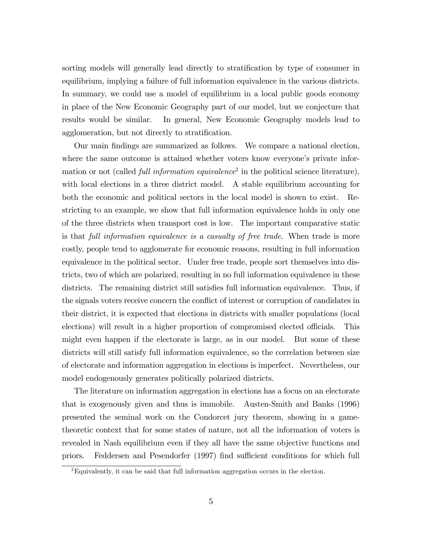sorting models will generally lead directly to stratification by type of consumer in equilibrium, implying a failure of full information equivalence in the various districts. In summary, we could use a model of equilibrium in a local public goods economy in place of the New Economic Geography part of our model, but we conjecture that results would be similar. In general, New Economic Geography models lead to agglomeration, but not directly to stratification.

Our main Öndings are summarized as follows. We compare a national election, where the same outcome is attained whether voters know everyone's private information or not (called *full information equivalence*<sup>2</sup> in the political science literature), with local elections in a three district model. A stable equilibrium accounting for both the economic and political sectors in the local model is shown to exist. Restricting to an example, we show that full information equivalence holds in only one of the three districts when transport cost is low. The important comparative static is that full information equivalence is a casualty of free trade. When trade is more costly, people tend to agglomerate for economic reasons, resulting in full information equivalence in the political sector. Under free trade, people sort themselves into districts, two of which are polarized, resulting in no full information equivalence in these districts. The remaining district still satisfies full information equivalence. Thus, if the signals voters receive concern the conflict of interest or corruption of candidates in their district, it is expected that elections in districts with smaller populations (local elections) will result in a higher proportion of compromised elected officials. This might even happen if the electorate is large, as in our model. But some of these districts will still satisfy full information equivalence, so the correlation between size of electorate and information aggregation in elections is imperfect. Nevertheless, our model endogenously generates politically polarized districts.

The literature on information aggregation in elections has a focus on an electorate that is exogenously given and thus is immobile. Austen-Smith and Banks (1996) presented the seminal work on the Condorcet jury theorem, showing in a gametheoretic context that for some states of nature, not all the information of voters is revealed in Nash equilibrium even if they all have the same objective functions and priors. Feddersen and Pesendorfer (1997) find sufficient conditions for which full

<sup>&</sup>lt;sup>2</sup>Equivalently, it can be said that full information aggregation occurs in the election.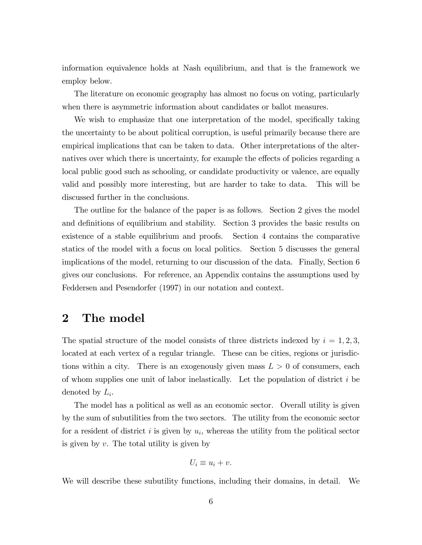information equivalence holds at Nash equilibrium, and that is the framework we employ below.

The literature on economic geography has almost no focus on voting, particularly when there is asymmetric information about candidates or ballot measures.

We wish to emphasize that one interpretation of the model, specifically taking the uncertainty to be about political corruption, is useful primarily because there are empirical implications that can be taken to data. Other interpretations of the alternatives over which there is uncertainty, for example the effects of policies regarding a local public good such as schooling, or candidate productivity or valence, are equally valid and possibly more interesting, but are harder to take to data. This will be discussed further in the conclusions.

The outline for the balance of the paper is as follows. Section 2 gives the model and definitions of equilibrium and stability. Section 3 provides the basic results on existence of a stable equilibrium and proofs. Section 4 contains the comparative statics of the model with a focus on local politics. Section 5 discusses the general implications of the model, returning to our discussion of the data. Finally, Section 6 gives our conclusions. For reference, an Appendix contains the assumptions used by Feddersen and Pesendorfer (1997) in our notation and context.

### 2 The model

The spatial structure of the model consists of three districts indexed by  $i = 1, 2, 3$ , located at each vertex of a regular triangle. These can be cities, regions or jurisdictions within a city. There is an exogenously given mass  $L > 0$  of consumers, each of whom supplies one unit of labor inelastically. Let the population of district  $i$  be denoted by  $L_i$ .

The model has a political as well as an economic sector. Overall utility is given by the sum of subutilities from the two sectors. The utility from the economic sector for a resident of district  $i$  is given by  $u_i$ , whereas the utility from the political sector is given by  $v$ . The total utility is given by

$$
U_i \equiv u_i + v.
$$

We will describe these subutility functions, including their domains, in detail. We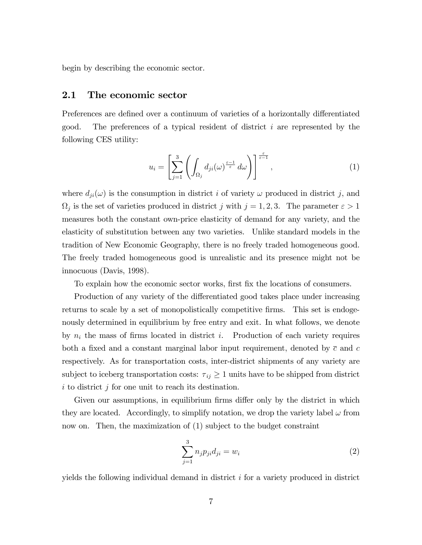begin by describing the economic sector.

### 2.1 The economic sector

Preferences are defined over a continuum of varieties of a horizontally differentiated good. The preferences of a typical resident of district i are represented by the following CES utility:

$$
u_i = \left[\sum_{j=1}^3 \left( \int_{\Omega_j} d_{ji}(\omega)^{\frac{\varepsilon-1}{\varepsilon}} d\omega \right) \right]^{\frac{\varepsilon}{\varepsilon-1}}, \tag{1}
$$

where  $d_{ji}(\omega)$  is the consumption in district i of variety  $\omega$  produced in district j, and  $\Omega_j$  is the set of varieties produced in district j with  $j = 1, 2, 3$ . The parameter  $\varepsilon > 1$ measures both the constant own-price elasticity of demand for any variety, and the elasticity of substitution between any two varieties. Unlike standard models in the tradition of New Economic Geography, there is no freely traded homogeneous good. The freely traded homogeneous good is unrealistic and its presence might not be innocuous (Davis, 1998).

To explain how the economic sector works, first fix the locations of consumers.

Production of any variety of the differentiated good takes place under increasing returns to scale by a set of monopolistically competitive firms. This set is endogenously determined in equilibrium by free entry and exit. In what follows, we denote by  $n_i$  the mass of firms located in district i. Production of each variety requires both a fixed and a constant marginal labor input requirement, denoted by  $\bar{c}$  and c respectively. As for transportation costs, inter-district shipments of any variety are subject to iceberg transportation costs:  $\tau_{ij} \geq 1$  units have to be shipped from district  $i$  to district  $j$  for one unit to reach its destination.

Given our assumptions, in equilibrium firms differ only by the district in which they are located. Accordingly, to simplify notation, we drop the variety label  $\omega$  from now on. Then, the maximization of (1) subject to the budget constraint

$$
\sum_{j=1}^{3} n_j p_{ji} d_{ji} = w_i \tag{2}
$$

yields the following individual demand in district  $i$  for a variety produced in district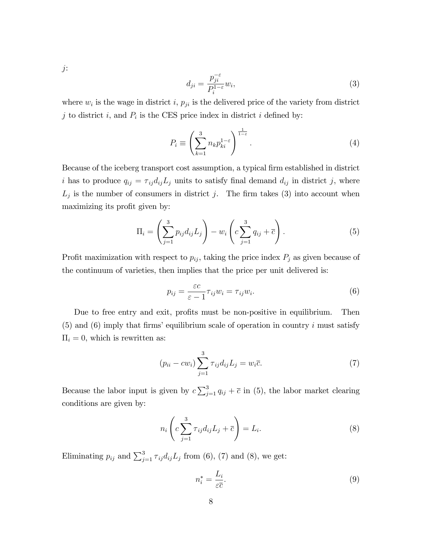j:

$$
d_{ji} = \frac{p_{ji}^{-\varepsilon}}{P_i^{1-\varepsilon}} w_i,
$$
\n(3)

where  $w_i$  is the wage in district i,  $p_{ji}$  is the delivered price of the variety from district j to district i, and  $P_i$  is the CES price index in district i defined by:

$$
P_i \equiv \left(\sum_{k=1}^3 n_k p_{ki}^{1-\varepsilon}\right)^{\frac{1}{1-\varepsilon}}.\tag{4}
$$

Because of the iceberg transport cost assumption, a typical firm established in district i has to produce  $q_{ij} = \tau_{ij} d_{ij} L_j$  units to satisfy final demand  $d_{ij}$  in district j, where  $L_j$  is the number of consumers in district j. The firm takes (3) into account when maximizing its profit given by:

$$
\Pi_i = \left(\sum_{j=1}^3 p_{ij} d_{ij} L_j\right) - w_i \left(c \sum_{j=1}^3 q_{ij} + \overline{c}\right).
$$
 (5)

Profit maximization with respect to  $p_{ij}$ , taking the price index  $P_j$  as given because of the continuum of varieties, then implies that the price per unit delivered is:

$$
p_{ij} = \frac{\varepsilon c}{\varepsilon - 1} \tau_{ij} w_i = \tau_{ij} w_i.
$$
\n(6)

Due to free entry and exit, profits must be non-positive in equilibrium. Then  $(5)$  and  $(6)$  imply that firms' equilibrium scale of operation in country i must satisfy  $\Pi_i = 0$ , which is rewritten as:

$$
(p_{ii} - cw_i) \sum_{j=1}^{3} \tau_{ij} d_{ij} L_j = w_i \overline{c}.
$$
 (7)

Because the labor input is given by  $c \sum_{j=1}^{3} q_{ij} + \overline{c}$  in (5), the labor market clearing conditions are given by:

$$
n_i \left( c \sum_{j=1}^3 \tau_{ij} d_{ij} L_j + \overline{c} \right) = L_i.
$$
 (8)

Eliminating  $p_{ij}$  and  $\sum_{j=1}^{3} \tau_{ij} d_{ij} L_j$  from (6), (7) and (8), we get:

$$
n_i^* = \frac{L_i}{\varepsilon \overline{c}}.\tag{9}
$$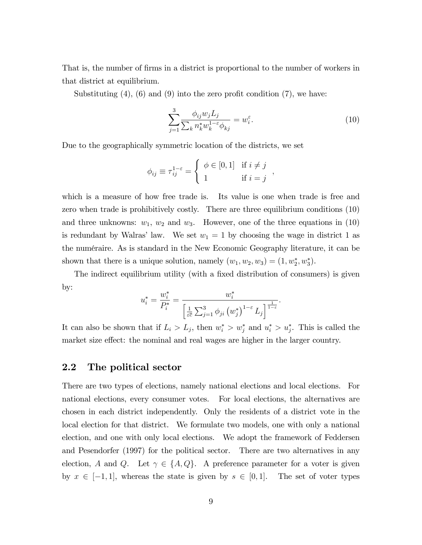That is, the number of firms in a district is proportional to the number of workers in that district at equilibrium.

Substituting  $(4)$ ,  $(6)$  and  $(9)$  into the zero profit condition  $(7)$ , we have:

$$
\sum_{j=1}^{3} \frac{\phi_{ij} w_j L_j}{\sum_k n_k^* w_k^{1-\varepsilon} \phi_{kj}} = w_i^{\varepsilon}.
$$
\n(10)

Due to the geographically symmetric location of the districts, we set

$$
\phi_{ij} \equiv \tau_{ij}^{1-\varepsilon} = \begin{cases} \phi \in [0,1] & \text{if } i \neq j \\ 1 & \text{if } i = j \end{cases},
$$

which is a measure of how free trade is. Its value is one when trade is free and zero when trade is prohibitively costly. There are three equilibrium conditions (10) and three unknowns:  $w_1, w_2$  and  $w_3$ . However, one of the three equations in (10) is redundant by Walras' law. We set  $w_1 = 1$  by choosing the wage in district 1 as the numéraire. As is standard in the New Economic Geography literature, it can be shown that there is a unique solution, namely  $(w_1, w_2, w_3) = (1, w_2^*, w_3^*).$ 

The indirect equilibrium utility (with a fixed distribution of consumers) is given by:

$$
u_i^* = \frac{w_i^*}{P_i^*} = \frac{w_i^*}{\left[\frac{1}{\varepsilon \bar{c}} \sum_{j=1}^3 \phi_{ji} (w_j^*)^{1-\varepsilon} L_j\right]^{\frac{1}{1-\varepsilon}}}.
$$

It can also be shown that if  $L_i > L_j$ , then  $w_i^* > w_j^*$  and  $u_i^* > u_j^*$ . This is called the market size effect: the nominal and real wages are higher in the larger country.

### 2.2 The political sector

There are two types of elections, namely national elections and local elections. For national elections, every consumer votes. For local elections, the alternatives are chosen in each district independently. Only the residents of a district vote in the local election for that district. We formulate two models, one with only a national election, and one with only local elections. We adopt the framework of Feddersen and Pesendorfer (1997) for the political sector. There are two alternatives in any election, A and Q. Let  $\gamma \in \{A, Q\}$ . A preference parameter for a voter is given by  $x \in [-1, 1]$ , whereas the state is given by  $s \in [0, 1]$ . The set of voter types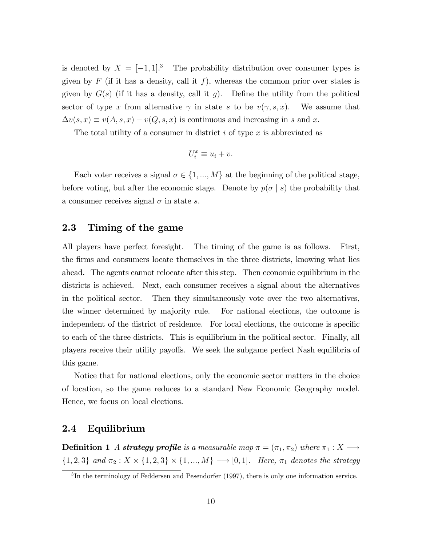is denoted by  $X = [-1, 1]^3$  The probability distribution over consumer types is given by  $F$  (if it has a density, call it  $f$ ), whereas the common prior over states is given by  $G(s)$  (if it has a density, call it g). Define the utility from the political sector of type x from alternative  $\gamma$  in state s to be  $v(\gamma, s, x)$ . We assume that  $\Delta v(s, x) \equiv v(A, s, x) - v(Q, s, x)$  is continuous and increasing in s and x.

The total utility of a consumer in district  $i$  of type  $x$  is abbreviated as

$$
U_i^x \equiv u_i + v.
$$

Each voter receives a signal  $\sigma \in \{1, ..., M\}$  at the beginning of the political stage, before voting, but after the economic stage. Denote by  $p(\sigma | s)$  the probability that a consumer receives signal  $\sigma$  in state s.

### 2.3 Timing of the game

All players have perfect foresight. The timing of the game is as follows. First, the firms and consumers locate themselves in the three districts, knowing what lies ahead. The agents cannot relocate after this step. Then economic equilibrium in the districts is achieved. Next, each consumer receives a signal about the alternatives in the political sector. Then they simultaneously vote over the two alternatives, the winner determined by majority rule. For national elections, the outcome is independent of the district of residence. For local elections, the outcome is specific to each of the three districts. This is equilibrium in the political sector. Finally, all players receive their utility payo§s. We seek the subgame perfect Nash equilibria of this game.

Notice that for national elections, only the economic sector matters in the choice of location, so the game reduces to a standard New Economic Geography model. Hence, we focus on local elections.

#### 2.4 Equilibrium

**Definition 1** A strategy profile is a measurable map  $\pi = (\pi_1, \pi_2)$  where  $\pi_1 : X \longrightarrow$  $\{1,2,3\}$  and  $\pi_2: X \times \{1,2,3\} \times \{1,...,M\} \longrightarrow [0,1].$  Here,  $\pi_1$  denotes the strategy

 ${}^{3}$ In the terminology of Feddersen and Pesendorfer (1997), there is only one information service.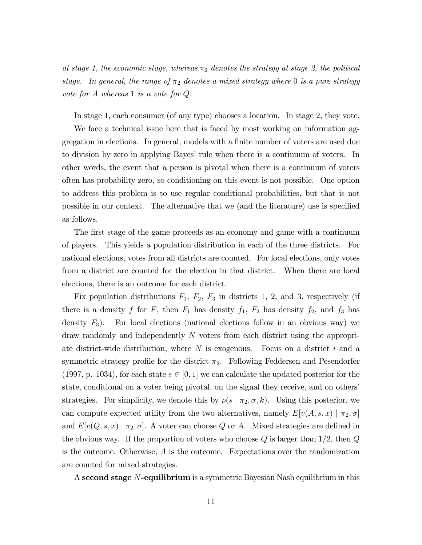at stage 1, the economic stage, whereas  $\pi_2$  denotes the strategy at stage 2, the political stage. In general, the range of  $\pi_2$  denotes a mixed strategy where 0 is a pure strategy vote for  $A$  whereas  $1$  is a vote for  $Q$ .

In stage 1, each consumer (of any type) chooses a location. In stage 2, they vote.

We face a technical issue here that is faced by most working on information aggregation in elections. In general, models with a finite number of voters are used due to division by zero in applying Bayesí rule when there is a continuum of voters. In other words, the event that a person is pivotal when there is a continuum of voters often has probability zero, so conditioning on this event is not possible. One option to address this problem is to use regular conditional probabilities, but that is not possible in our context. The alternative that we (and the literature) use is specified as follows.

The first stage of the game proceeds as an economy and game with a continuum of players. This yields a population distribution in each of the three districts. For national elections, votes from all districts are counted. For local elections, only votes from a district are counted for the election in that district. When there are local elections, there is an outcome for each district.

Fix population distributions  $F_1$ ,  $F_2$ ,  $F_3$  in districts 1, 2, and 3, respectively (if there is a density f for F, then  $F_1$  has density  $f_1$ ,  $F_2$  has density  $f_2$ , and  $f_3$  has density  $F_3$ ). For local elections (national elections follow in an obvious way) we draw randomly and independently N voters from each district using the appropriate district-wide distribution, where  $N$  is exogenous. Focus on a district i and a symmetric strategy profile for the district  $\pi_2$ . Following Feddersen and Pesendorfer (1997, p. 1034), for each state  $s \in [0, 1]$  we can calculate the updated posterior for the state, conditional on a voter being pivotal, on the signal they receive, and on others' strategies. For simplicity, we denote this by  $\rho(s | \pi_2, \sigma, k)$ . Using this posterior, we can compute expected utility from the two alternatives, namely  $E[v(A, s, x) | \pi_2, \sigma]$ and  $E[v(Q, s, x) | \pi_2, \sigma]$ . A voter can choose Q or A. Mixed strategies are defined in the obvious way. If the proportion of voters who choose  $Q$  is larger than  $1/2$ , then  $Q$ is the outcome. Otherwise, A is the outcome. Expectations over the randomization are counted for mixed strategies.

A second stage N-equilibrium is a symmetric Bayesian Nash equilibrium in this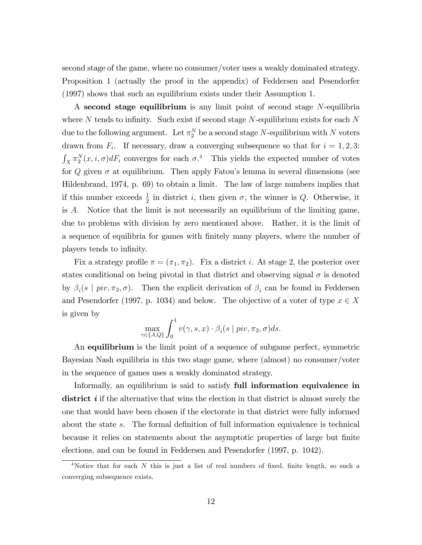second stage of the game, where no consumer/voter uses a weakly dominated strategy. Proposition 1 (actually the proof in the appendix) of Feddersen and Pesendorfer (1997) shows that such an equilibrium exists under their Assumption 1.

A second stage equilibrium is any limit point of second stage N-equilibria where N tends to infinity. Such exist if second stage N-equilibrium exists for each  $N$ due to the following argument. Let  $\pi_2^N$  be a second stage N-equilibrium with N voters drawn from  $F_i$ . If necessary, draw a converging subsequence so that for  $i = 1, 2, 3$ :  $\int_X \pi_2^N(x, i, \sigma) dF_i$  converges for each  $\sigma$ .<sup>4</sup> This yields the expected number of votes for  $Q$  given  $\sigma$  at equilibrium. Then apply Fatou's lemma in several dimensions (see Hildenbrand, 1974, p. 69) to obtain a limit. The law of large numbers implies that if this number exceeds  $\frac{1}{2}$  in district *i*, then given  $\sigma$ , the winner is *Q*. Otherwise, it is A. Notice that the limit is not necessarily an equilibrium of the limiting game, due to problems with division by zero mentioned above. Rather, it is the limit of a sequence of equilibria for games with Önitely many players, where the number of players tends to infinity.

Fix a strategy profile  $\pi = (\pi_1, \pi_2)$ . Fix a district *i*. At stage 2, the posterior over states conditional on being pivotal in that district and observing signal  $\sigma$  is denoted by  $\beta_i(s \mid \text{piv}, \pi_2, \sigma)$ . Then the explicit derivation of  $\beta_i$  can be found in Feddersen and Pesendorfer (1997, p. 1034) and below. The objective of a voter of type  $x \in X$ is given by

$$
\max_{\gamma \in \{A,Q\}} \int_0^1 v(\gamma, s, x) \cdot \beta_i(s \mid piv, \pi_2, \sigma) ds.
$$

An **equilibrium** is the limit point of a sequence of subgame perfect, symmetric Bayesian Nash equilibria in this two stage game, where (almost) no consumer/voter in the sequence of games uses a weakly dominated strategy.

Informally, an equilibrium is said to satisfy full information equivalence in district  $i$  if the alternative that wins the election in that district is almost surely the one that would have been chosen if the electorate in that district were fully informed about the state s. The formal definition of full information equivalence is technical because it relies on statements about the asymptotic properties of large but finite elections, and can be found in Feddersen and Pesendorfer (1997, p. 1042).

<sup>&</sup>lt;sup>4</sup>Notice that for each N this is just a list of real numbers of fixed, finite length, so such a converging subsequence exists.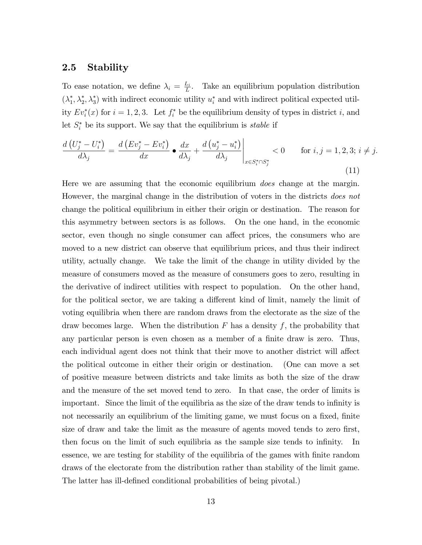#### 2.5 Stability

To ease notation, we define  $\lambda_i = \frac{L_i}{L_i}$  $\frac{L_i}{L}$ . Take an equilibrium population distribution  $(\lambda_1^*$  $\lambda_1^*, \lambda_2^*, \lambda_3^*$  with indirect economic utility  $u_i^*$  and with indirect political expected utility  $Ev_i^*(x)$  for  $i = 1, 2, 3$ . Let  $f_i^*$  be the equilibrium density of types in district i, and let  $S_i^*$  be its support. We say that the equilibrium is *stable* if

$$
\frac{d\left(U_j^* - U_i^*\right)}{d\lambda_j} = \frac{d\left(Ev_j^* - Ev_i^*\right)}{dx} \bullet \frac{dx}{d\lambda_j} + \frac{d\left(u_j^* - u_i^*\right)}{d\lambda_j}\Big|_{x \in S_i^* \cap S_j^*} < 0 \quad \text{for } i, j = 1, 2, 3; \ i \neq j. \tag{11}
$$

Here we are assuming that the economic equilibrium *does* change at the margin. However, the marginal change in the distribution of voters in the districts *does not* change the political equilibrium in either their origin or destination. The reason for this asymmetry between sectors is as follows. On the one hand, in the economic sector, even though no single consumer can affect prices, the consumers who are moved to a new district can observe that equilibrium prices, and thus their indirect utility, actually change. We take the limit of the change in utility divided by the measure of consumers moved as the measure of consumers goes to zero, resulting in the derivative of indirect utilities with respect to population. On the other hand, for the political sector, we are taking a different kind of limit, namely the limit of voting equilibria when there are random draws from the electorate as the size of the draw becomes large. When the distribution  $F$  has a density  $f$ , the probability that any particular person is even chosen as a member of a finite draw is zero. Thus, each individual agent does not think that their move to another district will affect the political outcome in either their origin or destination. (One can move a set of positive measure between districts and take limits as both the size of the draw and the measure of the set moved tend to zero. In that case, the order of limits is important. Since the limit of the equilibria as the size of the draw tends to infinity is not necessarily an equilibrium of the limiting game, we must focus on a fixed, finite size of draw and take the limit as the measure of agents moved tends to zero first, then focus on the limit of such equilibria as the sample size tends to infinity. In essence, we are testing for stability of the equilibria of the games with finite random draws of the electorate from the distribution rather than stability of the limit game. The latter has ill-defined conditional probabilities of being pivotal.)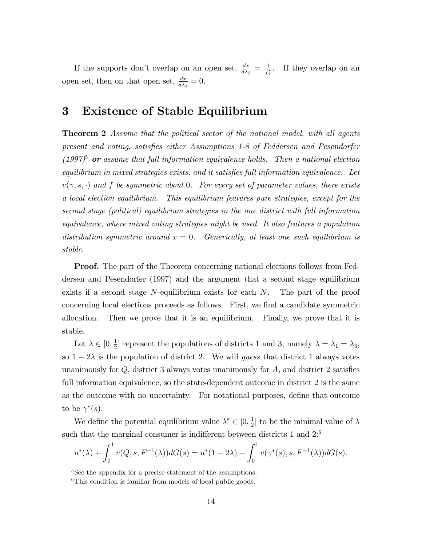If the supports don't overlap on an open set,  $\frac{dx}{d\lambda_j} = \frac{1}{f_j}$  $\frac{1}{f_j^*}$ . If they overlap on an open set, then on that open set,  $\frac{dx}{d\lambda_j} = 0$ .

### 3 Existence of Stable Equilibrium

**Theorem 2** Assume that the political sector of the national model, with all agents present and voting, satisfies either Assumptions 1-8 of Feddersen and Pesendorfer  $(1997)^5$  or assume that full information equivalence holds. Then a national election equilibrium in mixed strategies exists, and it satisfies full information equivalence. Let  $v(\gamma, s, \cdot)$  and f be symmetric about 0. For every set of parameter values, there exists a local election equilibrium. This equilibrium features pure strategies, except for the second stage (political) equilibrium strategies in the one district with full information equivalence, where mixed voting strategies might be used. It also features a population distribution symmetric around  $x = 0$ . Generically, at least one such equilibrium is stable.

Proof. The part of the Theorem concerning national elections follows from Feddersen and Pesendorfer (1997) and the argument that a second stage equilibrium exists if a second stage  $N$ -equilibrium exists for each  $N$ . The part of the proof concerning local elections proceeds as follows. First, we find a candidate symmetric allocation. Then we prove that it is an equilibrium. Finally, we prove that it is stable.

Let  $\lambda \in [0, \frac{1}{2}]$  $\frac{1}{2}$  represent the populations of districts 1 and 3, namely  $\lambda = \lambda_1 = \lambda_3$ , so  $1 - 2\lambda$  is the population of district 2. We will *quess* that district 1 always votes unanimously for  $Q$ , district 3 always votes unanimously for  $A$ , and district 2 satisfies full information equivalence, so the state-dependent outcome in district 2 is the same as the outcome with no uncertainty. For notational purposes, define that outcome to be  $\gamma^*(s)$ .

We define the potential equilibrium value  $\lambda^* \in [0, \frac{1}{2}]$  $\frac{1}{2}$  to be the minimal value of  $\lambda$ such that the marginal consumer is indifferent between districts 1 and  $2<sup>6</sup>$ 

$$
u^*(\lambda) + \int_0^1 v(Q, s, F^{-1}(\lambda)) dG(s) = u^*(1 - 2\lambda) + \int_0^1 v(\gamma^*(s), s, F^{-1}(\lambda)) dG(s).
$$

<sup>&</sup>lt;sup>5</sup>See the appendix for a precise statement of the assumptions.

<sup>&</sup>lt;sup>6</sup>This condition is familiar from models of local public goods.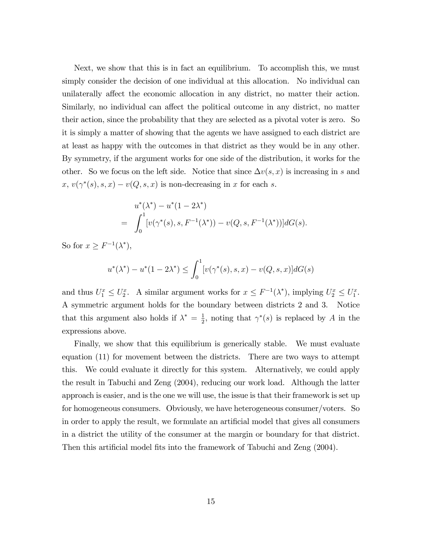Next, we show that this is in fact an equilibrium. To accomplish this, we must simply consider the decision of one individual at this allocation. No individual can unilaterally affect the economic allocation in any district, no matter their action. Similarly, no individual can affect the political outcome in any district, no matter their action, since the probability that they are selected as a pivotal voter is zero. So it is simply a matter of showing that the agents we have assigned to each district are at least as happy with the outcomes in that district as they would be in any other. By symmetry, if the argument works for one side of the distribution, it works for the other. So we focus on the left side. Notice that since  $\Delta v(s, x)$  is increasing in s and  $x, v(\gamma^*(s), s, x) - v(Q, s, x)$  is non-decreasing in x for each s.

$$
u^*(\lambda^*) - u^*(1 - 2\lambda^*)
$$
  
= 
$$
\int_0^1 [v(\gamma^*(s), s, F^{-1}(\lambda^*)) - v(Q, s, F^{-1}(\lambda^*))] dG(s).
$$

So for  $x \geq F^{-1}(\lambda^*),$ 

$$
u^*(\lambda^*) - u^*(1 - 2\lambda^*) \le \int_0^1 [v(\gamma^*(s), s, x) - v(Q, s, x)]dG(s)
$$

and thus  $U_1^x \leq U_2^x$ . A similar argument works for  $x \leq F^{-1}(\lambda^*)$ , implying  $U_2^x \leq U_1^x$ . A symmetric argument holds for the boundary between districts 2 and 3. Notice that this argument also holds if  $\lambda^* = \frac{1}{2}$  $\frac{1}{2}$ , noting that  $\gamma^*(s)$  is replaced by A in the expressions above.

Finally, we show that this equilibrium is generically stable. We must evaluate equation (11) for movement between the districts. There are two ways to attempt this. We could evaluate it directly for this system. Alternatively, we could apply the result in Tabuchi and Zeng (2004), reducing our work load. Although the latter approach is easier, and is the one we will use, the issue is that their framework is set up for homogeneous consumers. Obviously, we have heterogeneous consumer/voters. So in order to apply the result, we formulate an artificial model that gives all consumers in a district the utility of the consumer at the margin or boundary for that district. Then this artificial model fits into the framework of Tabuchi and Zeng (2004).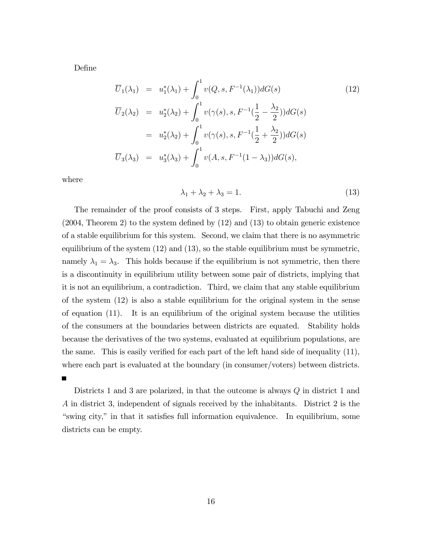DeÖne

$$
\overline{U}_{1}(\lambda_{1}) = u_{1}^{*}(\lambda_{1}) + \int_{0}^{1} v(Q, s, F^{-1}(\lambda_{1})) dG(s)
$$
\n
$$
\overline{U}_{2}(\lambda_{2}) = u_{2}^{*}(\lambda_{2}) + \int_{0}^{1} v(\gamma(s), s, F^{-1}(\frac{1}{2} - \frac{\lambda_{2}}{2})) dG(s)
$$
\n
$$
= u_{2}^{*}(\lambda_{2}) + \int_{0}^{1} v(\gamma(s), s, F^{-1}(\frac{1}{2} + \frac{\lambda_{2}}{2})) dG(s)
$$
\n
$$
\overline{U}_{3}(\lambda_{3}) = u_{3}^{*}(\lambda_{3}) + \int_{0}^{1} v(A, s, F^{-1}(1 - \lambda_{3})) dG(s),
$$
\n(12)

where

 $\blacksquare$ 

$$
\lambda_1 + \lambda_2 + \lambda_3 = 1. \tag{13}
$$

The remainder of the proof consists of 3 steps. First, apply Tabuchi and Zeng  $(2004,$  Theorem 2) to the system defined by  $(12)$  and  $(13)$  to obtain generic existence of a stable equilibrium for this system. Second, we claim that there is no asymmetric equilibrium of the system (12) and (13), so the stable equilibrium must be symmetric, namely  $\lambda_1 = \lambda_3$ . This holds because if the equilibrium is not symmetric, then there is a discontinuity in equilibrium utility between some pair of districts, implying that it is not an equilibrium, a contradiction. Third, we claim that any stable equilibrium of the system (12) is also a stable equilibrium for the original system in the sense of equation (11). It is an equilibrium of the original system because the utilities of the consumers at the boundaries between districts are equated. Stability holds because the derivatives of the two systems, evaluated at equilibrium populations, are the same. This is easily verified for each part of the left hand side of inequality  $(11)$ , where each part is evaluated at the boundary (in consumer/voters) between districts.

Districts 1 and 3 are polarized, in that the outcome is always Q in district 1 and A in district 3, independent of signals received by the inhabitants. District 2 is the "swing city," in that it satisfies full information equivalence. In equilibrium, some districts can be empty.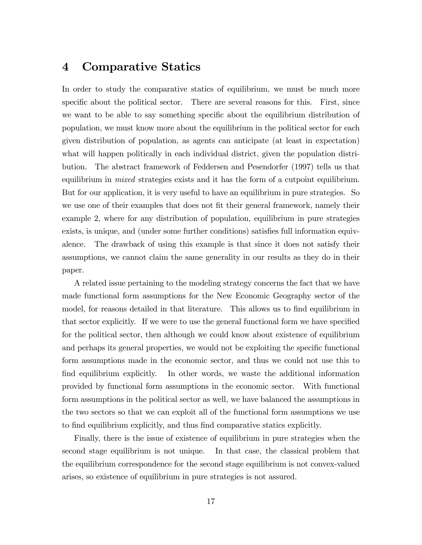### 4 Comparative Statics

In order to study the comparative statics of equilibrium, we must be much more specific about the political sector. There are several reasons for this. First, since we want to be able to say something specific about the equilibrium distribution of population, we must know more about the equilibrium in the political sector for each given distribution of population, as agents can anticipate (at least in expectation) what will happen politically in each individual district, given the population distribution. The abstract framework of Feddersen and Pesendorfer (1997) tells us that equilibrium in *mixed* strategies exists and it has the form of a cutpoint equilibrium. But for our application, it is very useful to have an equilibrium in pure strategies. So we use one of their examples that does not fit their general framework, namely their example 2, where for any distribution of population, equilibrium in pure strategies exists, is unique, and (under some further conditions) satisfies full information equivalence. The drawback of using this example is that since it does not satisfy their assumptions, we cannot claim the same generality in our results as they do in their paper.

A related issue pertaining to the modeling strategy concerns the fact that we have made functional form assumptions for the New Economic Geography sector of the model, for reasons detailed in that literature. This allows us to find equilibrium in that sector explicitly. If we were to use the general functional form we have specified for the political sector, then although we could know about existence of equilibrium and perhaps its general properties, we would not be exploiting the specific functional form assumptions made in the economic sector, and thus we could not use this to find equilibrium explicitly. In other words, we waste the additional information provided by functional form assumptions in the economic sector. With functional form assumptions in the political sector as well, we have balanced the assumptions in the two sectors so that we can exploit all of the functional form assumptions we use to find equilibrium explicitly, and thus find comparative statics explicitly.

Finally, there is the issue of existence of equilibrium in pure strategies when the second stage equilibrium is not unique. In that case, the classical problem that the equilibrium correspondence for the second stage equilibrium is not convex-valued arises, so existence of equilibrium in pure strategies is not assured.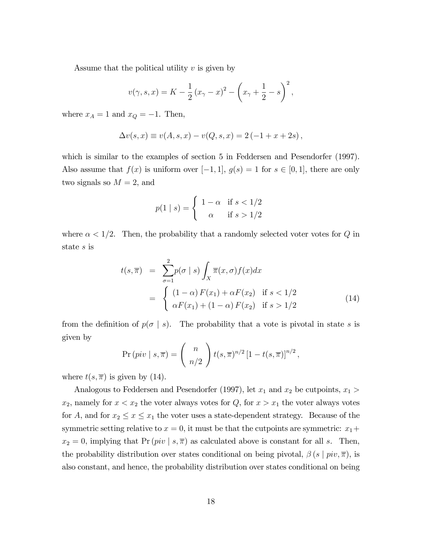Assume that the political utility  $v$  is given by

$$
v(\gamma, s, x) = K - \frac{1}{2} (x_{\gamma} - x)^2 - (x_{\gamma} + \frac{1}{2} - s)^2,
$$

where  $x_A = 1$  and  $x_Q = -1$ . Then,

$$
\Delta v(s, x) \equiv v(A, s, x) - v(Q, s, x) = 2(-1 + x + 2s),
$$

which is similar to the examples of section 5 in Feddersen and Pesendorfer (1997). Also assume that  $f(x)$  is uniform over  $[-1, 1]$ ,  $g(s) = 1$  for  $s \in [0, 1]$ , there are only two signals so  $M = 2$ , and

$$
p(1 \mid s) = \begin{cases} 1 - \alpha & \text{if } s < 1/2 \\ \alpha & \text{if } s > 1/2 \end{cases}
$$

where  $\alpha < 1/2$ . Then, the probability that a randomly selected voter votes for Q in state s is

$$
t(s,\overline{\pi}) = \sum_{\sigma=1}^{2} p(\sigma \mid s) \int_{X} \overline{\pi}(x,\sigma) f(x) dx
$$
  
= 
$$
\begin{cases} (1-\alpha) F(x_1) + \alpha F(x_2) & \text{if } s < 1/2 \\ \alpha F(x_1) + (1-\alpha) F(x_2) & \text{if } s > 1/2 \end{cases}
$$
(14)

from the definition of  $p(\sigma | s)$ . The probability that a vote is pivotal in state s is given by

$$
\Pr\left(piv \mid s,\overline{\pi}\right) = \binom{n}{n/2} t(s,\overline{\pi})^{n/2} \left[1 - t(s,\overline{\pi})\right]^{n/2},
$$

where  $t(s, \overline{\pi})$  is given by (14).

Analogous to Feddersen and Pesendorfer (1997), let  $x_1$  and  $x_2$  be cutpoints,  $x_1 >$  $x_2$ , namely for  $x < x_2$  the voter always votes for  $Q$ , for  $x > x_1$  the voter always votes for A, and for  $x_2 \leq x \leq x_1$  the voter uses a state-dependent strategy. Because of the symmetric setting relative to  $x = 0$ , it must be that the cutpoints are symmetric:  $x_1 +$  $x_2 = 0$ , implying that  $Pr(piv \mid s, \overline{\pi})$  as calculated above is constant for all s. Then, the probability distribution over states conditional on being pivotal,  $\beta$  (s | piv,  $\overline{\pi}$ ), is also constant, and hence, the probability distribution over states conditional on being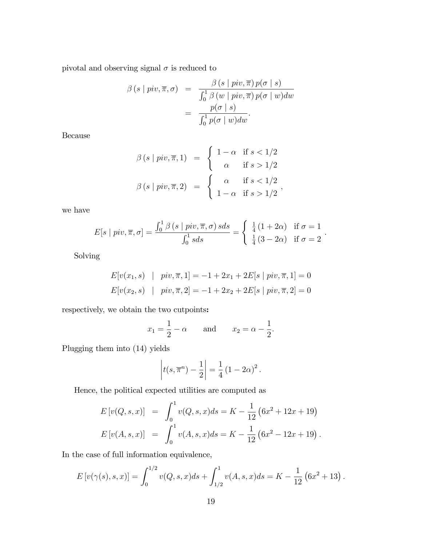pivotal and observing signal  $\sigma$  is reduced to

$$
\beta(s \mid piv, \overline{\pi}, \sigma) = \frac{\beta(s \mid piv, \overline{\pi}) p(\sigma \mid s)}{\int_0^1 \beta(w \mid piv, \overline{\pi}) p(\sigma \mid w) dw}
$$

$$
= \frac{p(\sigma \mid s)}{\int_0^1 p(\sigma \mid w) dw}.
$$

Because

$$
\beta(s \mid piv, \overline{\pi}, 1) = \begin{cases} 1 - \alpha & \text{if } s < 1/2 \\ \alpha & \text{if } s > 1/2 \end{cases}
$$

$$
\beta(s \mid piv, \overline{\pi}, 2) = \begin{cases} \alpha & \text{if } s < 1/2 \\ 1 - \alpha & \text{if } s > 1/2 \end{cases},
$$

we have

$$
E[s | piv, \overline{\pi}, \sigma] = \frac{\int_0^1 \beta (s | piv, \overline{\pi}, \sigma) \, s ds}{\int_0^1 s ds} = \begin{cases} \frac{1}{4} (1 + 2\alpha) & \text{if } \sigma = 1 \\ \frac{1}{4} (3 - 2\alpha) & \text{if } \sigma = 2 \end{cases}.
$$

Solving

$$
E[v(x_1, s) \mid piv, \overline{\pi}, 1] = -1 + 2x_1 + 2E[s \mid piv, \overline{\pi}, 1] = 0
$$
  

$$
E[v(x_2, s) \mid piv, \overline{\pi}, 2] = -1 + 2x_2 + 2E[s \mid piv, \overline{\pi}, 2] = 0
$$

respectively, we obtain the two cutpoints:

$$
x_1 = \frac{1}{2} - \alpha
$$
 and  $x_2 = \alpha - \frac{1}{2}$ .

Plugging them into (14) yields

$$
|t(s, \overline{\pi}^n) - \frac{1}{2}| = \frac{1}{4} (1 - 2\alpha)^2.
$$

Hence, the political expected utilities are computed as

$$
E[v(Q, s, x)] = \int_0^1 v(Q, s, x)ds = K - \frac{1}{12} (6x^2 + 12x + 19)
$$
  

$$
E[v(A, s, x)] = \int_0^1 v(A, s, x)ds = K - \frac{1}{12} (6x^2 - 12x + 19).
$$

In the case of full information equivalence,

$$
E[v(\gamma(s), s, x)] = \int_0^{1/2} v(Q, s, x) ds + \int_{1/2}^1 v(A, s, x) ds = K - \frac{1}{12} (6x^2 + 13).
$$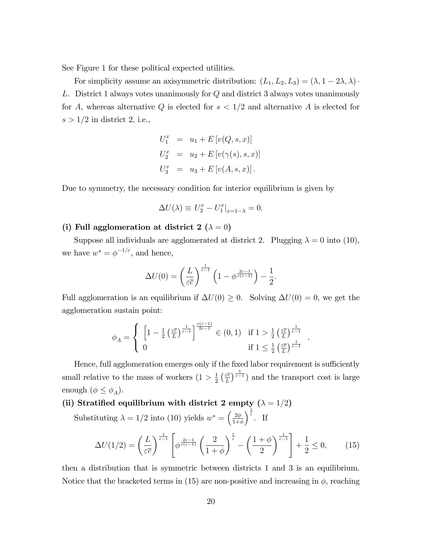See Figure 1 for these political expected utilities.

For simplicity assume an axisymmetric distribution:  $(L_1, L_2, L_3) = (\lambda, 1 - 2\lambda, \lambda)$ . L. District 1 always votes unanimously for Q and district 3 always votes unanimously for A, whereas alternative Q is elected for  $s < 1/2$  and alternative A is elected for  $s > 1/2$  in district 2, i.e.,

$$
U_1^x = u_1 + E[v(Q, s, x)]
$$
  
\n
$$
U_2^x = u_2 + E[v(\gamma(s), s, x)]
$$
  
\n
$$
U_3^x = u_3 + E[v(A, s, x)].
$$

Due to symmetry, the necessary condition for interior equilibrium is given by

$$
\Delta U(\lambda) \equiv U_2^x - U_1^x|_{x=1-\lambda} = 0.
$$

#### (i) Full agglomeration at district 2 ( $\lambda = 0$ )

Suppose all individuals are agglomerated at district 2. Plugging  $\lambda = 0$  into (10), we have  $w^* = \phi^{-1/\varepsilon}$ , and hence,

$$
\Delta U(0) = \left(\frac{L}{\varepsilon \overline{c}}\right)^{\frac{1}{\varepsilon - 1}} \left(1 - \phi^{\frac{2\varepsilon - 1}{\varepsilon(\varepsilon - 1)}}\right) - \frac{1}{2}.
$$

Full agglomeration is an equilibrium if  $\Delta U(0) \geq 0$ . Solving  $\Delta U(0) = 0$ , we get the agglomeration sustain point:

$$
\phi_A=\left\{\begin{array}{ll} \left[1-\frac{1}{2}\left(\frac{\varepsilon\bar{c}}{L}\right)^{\frac{1}{\varepsilon-1}}\right]^{\frac{\varepsilon(\varepsilon-1)}{2\varepsilon-1}}\in (0,1) & \text{if } 1>\frac{1}{2}\left(\frac{\varepsilon\bar{c}}{L}\right)^{\frac{1}{\varepsilon-1}}\\ 0 & \text{if } 1\leq \frac{1}{2}\left(\frac{\varepsilon\bar{c}}{L}\right)^{\frac{1}{\varepsilon-1}} \end{array}\right.
$$

.

Hence, full agglomeration emerges only if the fixed labor requirement is sufficiently small relative to the mass of workers  $(1 > \frac{1}{2})$  $rac{1}{2}$   $\left(\frac{\varepsilon\overline{c}}{L}\right)$  $\left(\frac{\varepsilon \bar{c}}{L}\right)^{\frac{1}{\varepsilon-1}}$  and the transport cost is large enough  $(\phi \leq \phi_A)$ .

### (ii) Stratified equilibrium with district 2 empty ( $\lambda = 1/2$ )

Substituting  $\lambda = 1/2$  into (10) yields  $w^* = \left(\frac{2\phi}{1+\epsilon}\right)$  $1+\phi$  $\int_{0}^{\frac{1}{\varepsilon}}$ . If

$$
\Delta U(1/2) = \left(\frac{L}{\varepsilon \bar{c}}\right)^{\frac{1}{\varepsilon - 1}} \left[\phi^{\frac{2\varepsilon - 1}{\varepsilon(\varepsilon - 1)}} \left(\frac{2}{1 + \phi}\right)^{\frac{1}{\varepsilon}} - \left(\frac{1 + \phi}{2}\right)^{\frac{1}{\varepsilon - 1}}\right] + \frac{1}{2} \le 0,\tag{15}
$$

then a distribution that is symmetric between districts 1 and 3 is an equilibrium. Notice that the bracketed terms in (15) are non-positive and increasing in  $\phi$ , reaching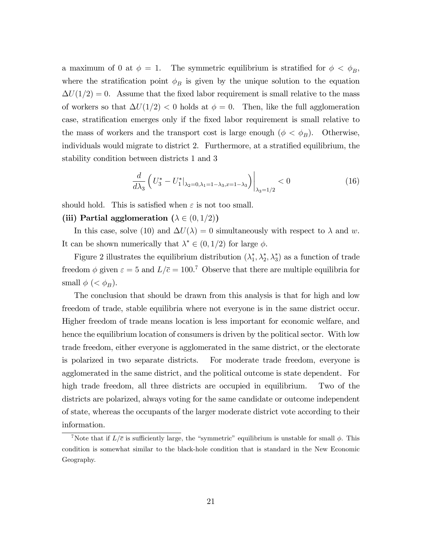a maximum of 0 at  $\phi = 1$ . The symmetric equilibrium is stratified for  $\phi < \phi_B$ , where the stratification point  $\phi_B$  is given by the unique solution to the equation  $\Delta U(1/2) = 0$ . Assume that the fixed labor requirement is small relative to the mass of workers so that  $\Delta U(1/2) < 0$  holds at  $\phi = 0$ . Then, like the full agglomeration case, stratification emerges only if the fixed labor requirement is small relative to the mass of workers and the transport cost is large enough  $(\phi < \phi_B)$ . Otherwise, individuals would migrate to district 2. Furthermore, at a stratified equilibrium, the stability condition between districts 1 and 3

$$
\frac{d}{d\lambda_3} \left( U_3^* - U_1^* \big|_{\lambda_2 = 0, \lambda_1 = 1 - \lambda_3, x = 1 - \lambda_3} \right) \bigg|_{\lambda_3 = 1/2} < 0 \tag{16}
$$

should hold. This is satisfied when  $\varepsilon$  is not too small.

#### (iii) Partial agglomeration ( $\lambda \in (0, 1/2)$ )

In this case, solve (10) and  $\Delta U(\lambda) = 0$  simultaneously with respect to  $\lambda$  and w. It can be shown numerically that  $\lambda^* \in (0, 1/2)$  for large  $\phi$ .

Figure 2 illustrates the equilibrium distribution  $(\lambda_1^*)$  $\chi_1^*, \lambda_2^*, \lambda_3^*$  as a function of trade freedom  $\phi$  given  $\varepsilon = 5$  and  $L/\overline{c} = 100$ .<sup>7</sup> Observe that there are multiple equilibria for small  $\phi \, (< \phi_B)$ .

The conclusion that should be drawn from this analysis is that for high and low freedom of trade, stable equilibria where not everyone is in the same district occur. Higher freedom of trade means location is less important for economic welfare, and hence the equilibrium location of consumers is driven by the political sector. With low trade freedom, either everyone is agglomerated in the same district, or the electorate is polarized in two separate districts. For moderate trade freedom, everyone is agglomerated in the same district, and the political outcome is state dependent. For high trade freedom, all three districts are occupied in equilibrium. Two of the districts are polarized, always voting for the same candidate or outcome independent of state, whereas the occupants of the larger moderate district vote according to their information.

<sup>&</sup>lt;sup>7</sup>Note that if  $L/\bar{c}$  is sufficiently large, the "symmetric" equilibrium is unstable for small  $\phi$ . This condition is somewhat similar to the black-hole condition that is standard in the New Economic Geography.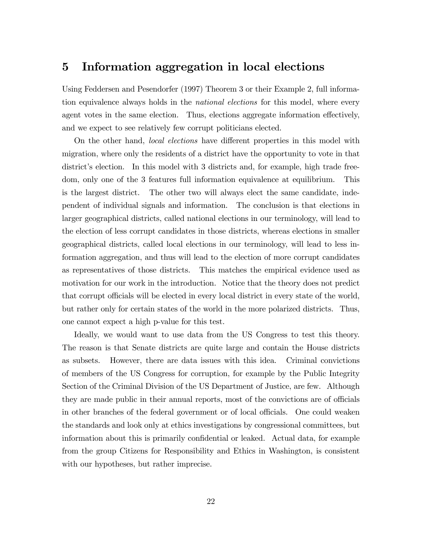### 5 Information aggregation in local elections

Using Feddersen and Pesendorfer (1997) Theorem 3 or their Example 2, full information equivalence always holds in the *national elections* for this model, where every agent votes in the same election. Thus, elections aggregate information effectively, and we expect to see relatively few corrupt politicians elected.

On the other hand, *local elections* have different properties in this model with migration, where only the residents of a district have the opportunity to vote in that district's election. In this model with 3 districts and, for example, high trade freedom, only one of the 3 features full information equivalence at equilibrium. This is the largest district. The other two will always elect the same candidate, independent of individual signals and information. The conclusion is that elections in larger geographical districts, called national elections in our terminology, will lead to the election of less corrupt candidates in those districts, whereas elections in smaller geographical districts, called local elections in our terminology, will lead to less information aggregation, and thus will lead to the election of more corrupt candidates as representatives of those districts. This matches the empirical evidence used as motivation for our work in the introduction. Notice that the theory does not predict that corrupt officials will be elected in every local district in every state of the world, but rather only for certain states of the world in the more polarized districts. Thus, one cannot expect a high p-value for this test.

Ideally, we would want to use data from the US Congress to test this theory. The reason is that Senate districts are quite large and contain the House districts as subsets. However, there are data issues with this idea. Criminal convictions of members of the US Congress for corruption, for example by the Public Integrity Section of the Criminal Division of the US Department of Justice, are few. Although they are made public in their annual reports, most of the convictions are of officials in other branches of the federal government or of local officials. One could weaken the standards and look only at ethics investigations by congressional committees, but information about this is primarily confidential or leaked. Actual data, for example from the group Citizens for Responsibility and Ethics in Washington, is consistent with our hypotheses, but rather imprecise.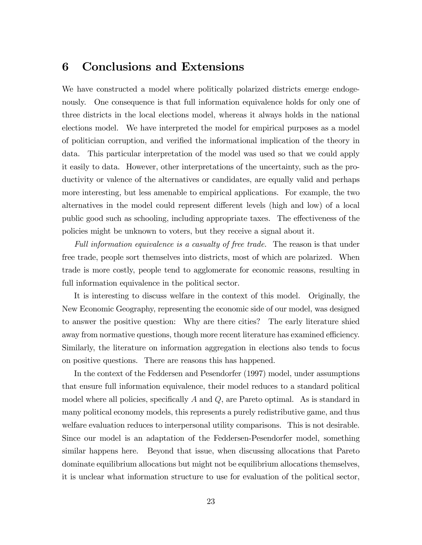### 6 Conclusions and Extensions

We have constructed a model where politically polarized districts emerge endogenously. One consequence is that full information equivalence holds for only one of three districts in the local elections model, whereas it always holds in the national elections model. We have interpreted the model for empirical purposes as a model of politician corruption, and verified the informational implication of the theory in data. This particular interpretation of the model was used so that we could apply it easily to data. However, other interpretations of the uncertainty, such as the productivity or valence of the alternatives or candidates, are equally valid and perhaps more interesting, but less amenable to empirical applications. For example, the two alternatives in the model could represent different levels (high and low) of a local public good such as schooling, including appropriate taxes. The effectiveness of the policies might be unknown to voters, but they receive a signal about it.

Full information equivalence is a casualty of free trade. The reason is that under free trade, people sort themselves into districts, most of which are polarized. When trade is more costly, people tend to agglomerate for economic reasons, resulting in full information equivalence in the political sector.

It is interesting to discuss welfare in the context of this model. Originally, the New Economic Geography, representing the economic side of our model, was designed to answer the positive question: Why are there cities? The early literature shied away from normative questions, though more recent literature has examined efficiency. Similarly, the literature on information aggregation in elections also tends to focus on positive questions. There are reasons this has happened.

In the context of the Feddersen and Pesendorfer (1997) model, under assumptions that ensure full information equivalence, their model reduces to a standard political model where all policies, specifically  $A$  and  $Q$ , are Pareto optimal. As is standard in many political economy models, this represents a purely redistributive game, and thus welfare evaluation reduces to interpersonal utility comparisons. This is not desirable. Since our model is an adaptation of the Feddersen-Pesendorfer model, something similar happens here. Beyond that issue, when discussing allocations that Pareto dominate equilibrium allocations but might not be equilibrium allocations themselves, it is unclear what information structure to use for evaluation of the political sector,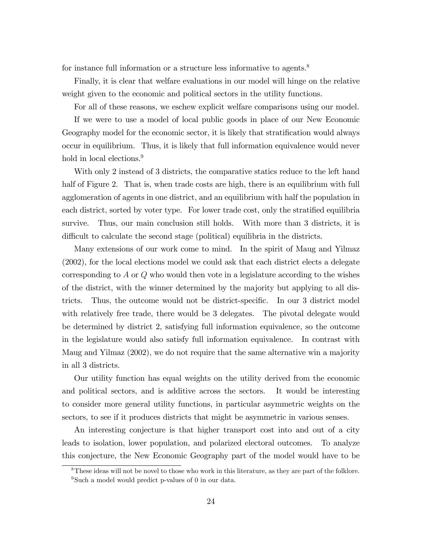for instance full information or a structure less informative to agents.<sup>8</sup>

Finally, it is clear that welfare evaluations in our model will hinge on the relative weight given to the economic and political sectors in the utility functions.

For all of these reasons, we eschew explicit welfare comparisons using our model.

If we were to use a model of local public goods in place of our New Economic Geography model for the economic sector, it is likely that stratification would always occur in equilibrium. Thus, it is likely that full information equivalence would never hold in local elections.<sup>9</sup>

With only 2 instead of 3 districts, the comparative statics reduce to the left hand half of Figure 2. That is, when trade costs are high, there is an equilibrium with full agglomeration of agents in one district, and an equilibrium with half the population in each district, sorted by voter type. For lower trade cost, only the stratified equilibria survive. Thus, our main conclusion still holds. With more than 3 districts, it is difficult to calculate the second stage (political) equilibria in the districts.

Many extensions of our work come to mind. In the spirit of Maug and Yilmaz (2002), for the local elections model we could ask that each district elects a delegate corresponding to A or Q who would then vote in a legislature according to the wishes of the district, with the winner determined by the majority but applying to all districts. Thus, the outcome would not be district-specific. In our 3 district model with relatively free trade, there would be 3 delegates. The pivotal delegate would be determined by district 2, satisfying full information equivalence, so the outcome in the legislature would also satisfy full information equivalence. In contrast with Maug and Yilmaz (2002), we do not require that the same alternative win a majority in all 3 districts.

Our utility function has equal weights on the utility derived from the economic and political sectors, and is additive across the sectors. It would be interesting to consider more general utility functions, in particular asymmetric weights on the sectors, to see if it produces districts that might be asymmetric in various senses.

An interesting conjecture is that higher transport cost into and out of a city leads to isolation, lower population, and polarized electoral outcomes. To analyze this conjecture, the New Economic Geography part of the model would have to be

<sup>&</sup>lt;sup>8</sup>These ideas will not be novel to those who work in this literature, as they are part of the folklore. <sup>9</sup>Such a model would predict p-values of 0 in our data.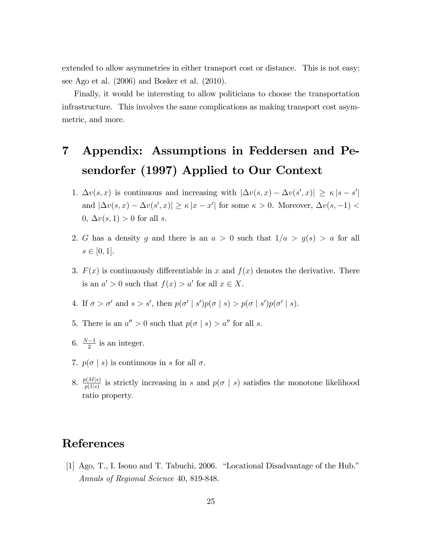extended to allow asymmetries in either transport cost or distance. This is not easy; see Ago et al. (2006) and Bosker et al. (2010).

Finally, it would be interesting to allow politicians to choose the transportation infrastructure. This involves the same complications as making transport cost asymmetric, and more.

# 7 Appendix: Assumptions in Feddersen and Pesendorfer (1997) Applied to Our Context

- 1.  $\Delta v(s, x)$  is continuous and increasing with  $|\Delta v(s, x) \Delta v(s', x)| \geq \kappa |s s'|$ and  $|\Delta v(s, x) - \Delta v(s', x)| \ge \kappa |x - x'|$  for some  $\kappa > 0$ . Moreover,  $\Delta v(s, -1)$  <  $0, \Delta v(s, 1) > 0$  for all s.
- 2. G has a density g and there is an  $a > 0$  such that  $1/a > g(s) > a$  for all  $s \in [0, 1].$
- 3.  $F(x)$  is continuously differentiable in x and  $f(x)$  denotes the derivative. There is an  $a' > 0$  such that  $f(x) > a'$  for all  $x \in X$ .
- 4. If  $\sigma > \sigma'$  and  $s > s'$ , then  $p(\sigma' | s')p(\sigma | s) > p(\sigma | s')p(\sigma' | s)$ .
- 5. There is an  $a'' > 0$  such that  $p(\sigma | s) > a''$  for all s.
- 6.  $\frac{N-1}{2}$  is an integer.
- 7.  $p(\sigma | s)$  is continuous in s for all  $\sigma$ .
- 8.  $\frac{p(M|s)}{p(1|s)}$  is strictly increasing in s and  $p(\sigma | s)$  satisfies the monotone likelihood ratio property.

### References

[1] Ago, T., I. Isono and T. Tabuchi, 2006. "Locational Disadvantage of the Hub." Annals of Regional Science 40, 819-848.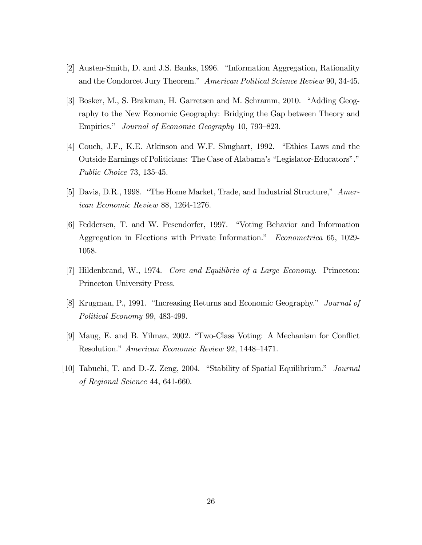- [2] Austen-Smith, D. and J.S. Banks, 1996. "Information Aggregation, Rationality and the Condorcet Jury Theorem." American Political Science Review 90, 34-45.
- [3] Bosker, M., S. Brakman, H. Garretsen and M. Schramm, 2010. "Adding Geography to the New Economic Geography: Bridging the Gap between Theory and Empirics." Journal of Economic Geography 10, 793–823.
- [4] Couch, J.F., K.E. Atkinson and W.F. Shughart, 1992. "Ethics Laws and the Outside Earnings of Politicians: The Case of Alabama's "Legislator-Educators"." Public Choice 73, 135-45.
- [5] Davis, D.R., 1998. "The Home Market, Trade, and Industrial Structure,"  $Amer$ ican Economic Review 88, 1264-1276.
- [6] Feddersen, T. and W. Pesendorfer, 1997. "Voting Behavior and Information Aggregation in Elections with Private Information.<sup>n</sup> Econometrica 65, 1029-1058.
- [7] Hildenbrand, W., 1974. Core and Equilibria of a Large Economy. Princeton: Princeton University Press.
- [8] Krugman, P., 1991. "Increasing Returns and Economic Geography." *Journal of* Political Economy 99, 483-499.
- [9] Maug, E. and B. Yilmaz,  $2002$ . "Two-Class Voting: A Mechanism for Conflict Resolution." American Economic Review 92, 1448–1471.
- [10] Tabuchi, T. and D.-Z. Zeng, 2004. "Stability of Spatial Equilibrium." Journal of Regional Science 44, 641-660.